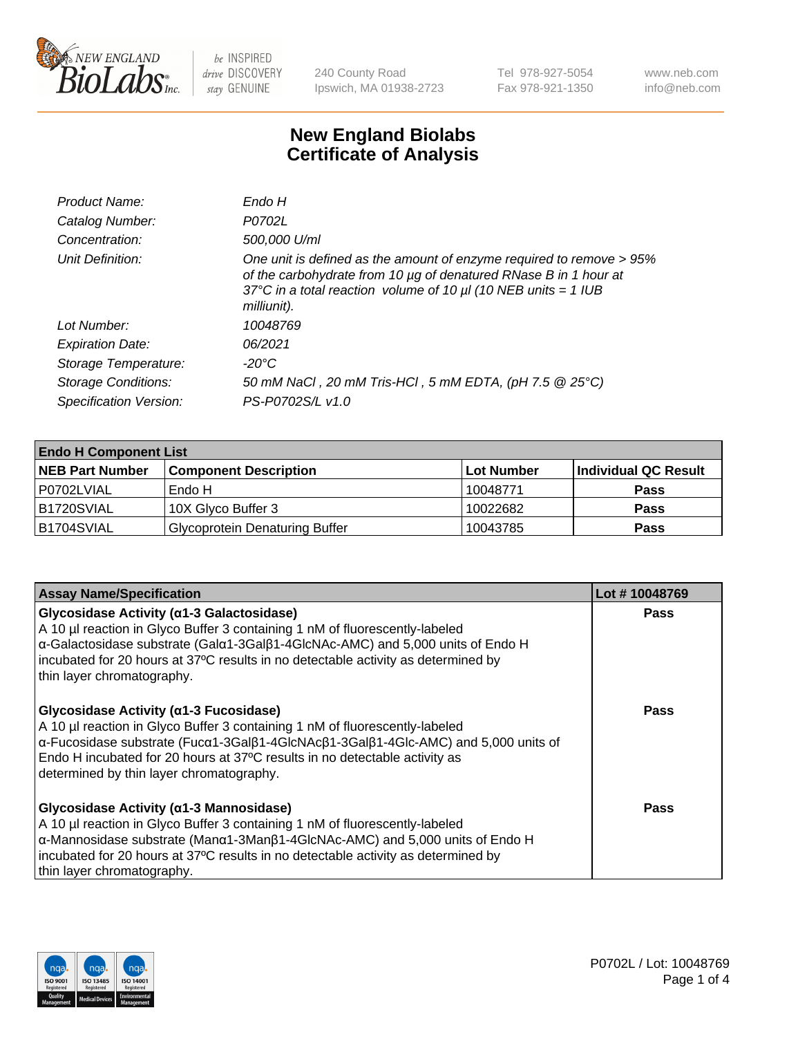

240 County Road Ipswich, MA 01938-2723 Tel 978-927-5054 Fax 978-921-1350 www.neb.com info@neb.com

## **New England Biolabs Certificate of Analysis**

| Product Name:              | Endo H                                                                                                                                                                                                                         |
|----------------------------|--------------------------------------------------------------------------------------------------------------------------------------------------------------------------------------------------------------------------------|
| Catalog Number:            | P0702L                                                                                                                                                                                                                         |
| Concentration:             | 500,000 U/ml                                                                                                                                                                                                                   |
| Unit Definition:           | One unit is defined as the amount of enzyme required to remove > 95%<br>of the carbohydrate from 10 µg of denatured RNase B in 1 hour at<br>37°C in a total reaction volume of 10 $\mu$ l (10 NEB units = 1 IUB<br>milliunit). |
| Lot Number:                | 10048769                                                                                                                                                                                                                       |
| <b>Expiration Date:</b>    | 06/2021                                                                                                                                                                                                                        |
| Storage Temperature:       | -20°C                                                                                                                                                                                                                          |
| <b>Storage Conditions:</b> | 50 mM NaCl, 20 mM Tris-HCl, 5 mM EDTA, (pH 7.5 @ 25°C)                                                                                                                                                                         |
| Specification Version:     | PS-P0702S/L v1.0                                                                                                                                                                                                               |

| <b>Endo H Component List</b> |                                       |             |                      |  |
|------------------------------|---------------------------------------|-------------|----------------------|--|
| <b>NEB Part Number</b>       | <b>Component Description</b>          | ∣Lot Number | Individual QC Result |  |
| P0702LVIAL                   | Endo H                                | 10048771    | <b>Pass</b>          |  |
| B1720SVIAL                   | 10X Glyco Buffer 3                    | 10022682    | <b>Pass</b>          |  |
| B1704SVIAL                   | <b>Glycoprotein Denaturing Buffer</b> | 10043785    | <b>Pass</b>          |  |

| <b>Assay Name/Specification</b>                                                                                                                                                                                                                                                                                                                                                | Lot #10048769 |
|--------------------------------------------------------------------------------------------------------------------------------------------------------------------------------------------------------------------------------------------------------------------------------------------------------------------------------------------------------------------------------|---------------|
| <b>Glycosidase Activity (α1-3 Galactosidase)</b><br>A 10 µl reaction in Glyco Buffer 3 containing 1 nM of fluorescently-labeled<br>α-Galactosidase substrate (Galα1-3Galβ1-4GlcNAc-AMC) and 5,000 units of Endo H<br>incubated for 20 hours at 37°C results in no detectable activity as determined by<br>thin layer chromatography.                                           | <b>Pass</b>   |
| Glycosidase Activity (α1-3 Fucosidase)<br>A 10 µl reaction in Glyco Buffer 3 containing 1 nM of fluorescently-labeled<br>$\alpha$ -Fucosidase substrate (Fuc $\alpha$ 1-3Gal $\beta$ 1-4GlcNAc $\beta$ 1-3Gal $\beta$ 1-4Glc-AMC) and 5,000 units of<br>Endo H incubated for 20 hours at 37°C results in no detectable activity as<br>determined by thin layer chromatography. | Pass          |
| Glycosidase Activity (α1-3 Mannosidase)<br>A 10 µl reaction in Glyco Buffer 3 containing 1 nM of fluorescently-labeled<br>$\alpha$ -Mannosidase substrate (Man $\alpha$ 1-3Man $\beta$ 1-4GlcNAc-AMC) and 5,000 units of Endo H<br>incubated for 20 hours at 37°C results in no detectable activity as determined by<br>thin layer chromatography.                             | <b>Pass</b>   |

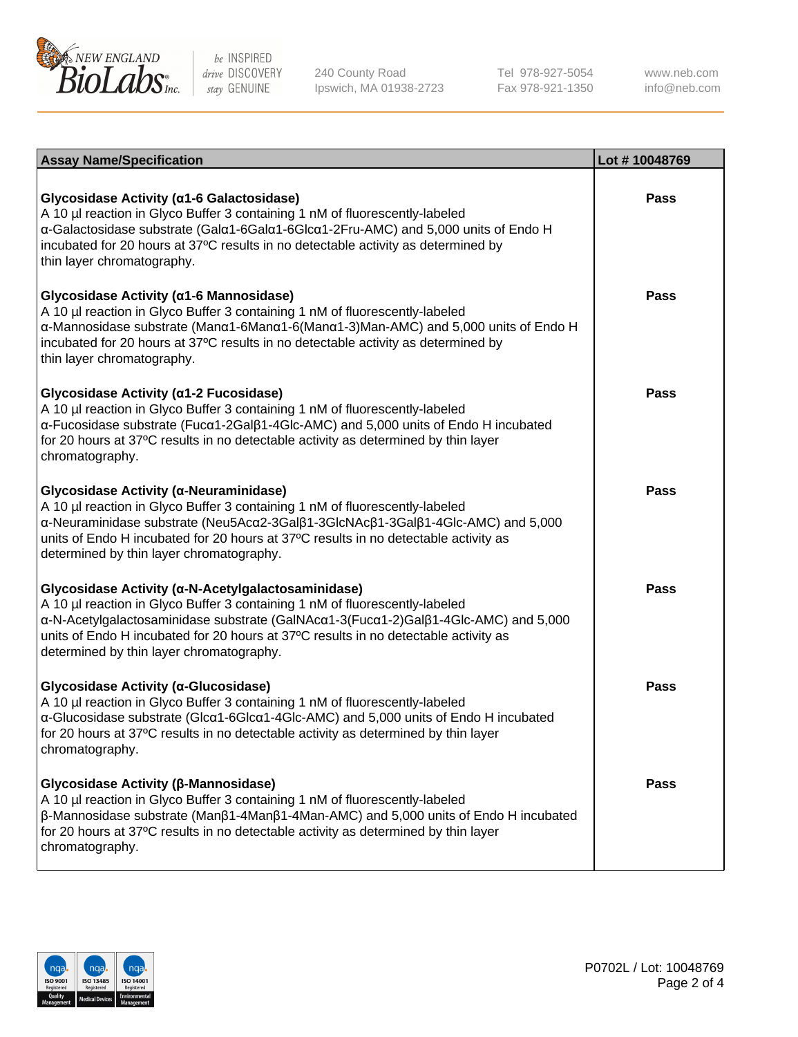

240 County Road Ipswich, MA 01938-2723 Tel 978-927-5054 Fax 978-921-1350

www.neb.com info@neb.com

| <b>Assay Name/Specification</b>                                                                                                                                                                                                                                                                                                                             | Lot #10048769 |
|-------------------------------------------------------------------------------------------------------------------------------------------------------------------------------------------------------------------------------------------------------------------------------------------------------------------------------------------------------------|---------------|
| Glycosidase Activity (α1-6 Galactosidase)<br>A 10 µl reaction in Glyco Buffer 3 containing 1 nM of fluorescently-labeled<br>α-Galactosidase substrate (Galα1-6Galα1-6Glcα1-2Fru-AMC) and 5,000 units of Endo H<br>incubated for 20 hours at 37°C results in no detectable activity as determined by<br>thin layer chromatography.                           | <b>Pass</b>   |
| Glycosidase Activity (α1-6 Mannosidase)<br>A 10 µl reaction in Glyco Buffer 3 containing 1 nM of fluorescently-labeled<br>α-Mannosidase substrate (Μanα1-6Μanα1-6(Μanα1-3)Man-AMC) and 5,000 units of Endo H<br>incubated for 20 hours at 37°C results in no detectable activity as determined by<br>thin layer chromatography.                             | <b>Pass</b>   |
| Glycosidase Activity (α1-2 Fucosidase)<br>A 10 µl reaction in Glyco Buffer 3 containing 1 nM of fluorescently-labeled<br>α-Fucosidase substrate (Fucα1-2Galβ1-4Glc-AMC) and 5,000 units of Endo H incubated<br>for 20 hours at 37°C results in no detectable activity as determined by thin layer<br>chromatography.                                        | <b>Pass</b>   |
| Glycosidase Activity (α-Neuraminidase)<br>A 10 µl reaction in Glyco Buffer 3 containing 1 nM of fluorescently-labeled<br>α-Neuraminidase substrate (Neu5Acα2-3Galβ1-3GlcNAcβ1-3Galβ1-4Glc-AMC) and 5,000<br>units of Endo H incubated for 20 hours at 37°C results in no detectable activity as<br>determined by thin layer chromatography.                 | <b>Pass</b>   |
| Glycosidase Activity (α-N-Acetylgalactosaminidase)<br>A 10 µl reaction in Glyco Buffer 3 containing 1 nM of fluorescently-labeled<br>α-N-Acetylgalactosaminidase substrate (GalNAcα1-3(Fucα1-2)Galβ1-4Glc-AMC) and 5,000<br>units of Endo H incubated for 20 hours at 37°C results in no detectable activity as<br>determined by thin layer chromatography. | <b>Pass</b>   |
| Glycosidase Activity (α-Glucosidase)<br>A 10 µl reaction in Glyco Buffer 3 containing 1 nM of fluorescently-labeled<br>α-Glucosidase substrate (Glcα1-6Glcα1-4Glc-AMC) and 5,000 units of Endo H incubated<br>for 20 hours at 37°C results in no detectable activity as determined by thin layer<br>chromatography.                                         | <b>Pass</b>   |
| Glycosidase Activity (β-Mannosidase)<br>A 10 µl reaction in Glyco Buffer 3 containing 1 nM of fluorescently-labeled<br>$\beta$ -Mannosidase substrate (Man $\beta$ 1-4Man $\beta$ 1-4Man-AMC) and 5,000 units of Endo H incubated<br>for 20 hours at 37°C results in no detectable activity as determined by thin layer<br>chromatography.                  | <b>Pass</b>   |

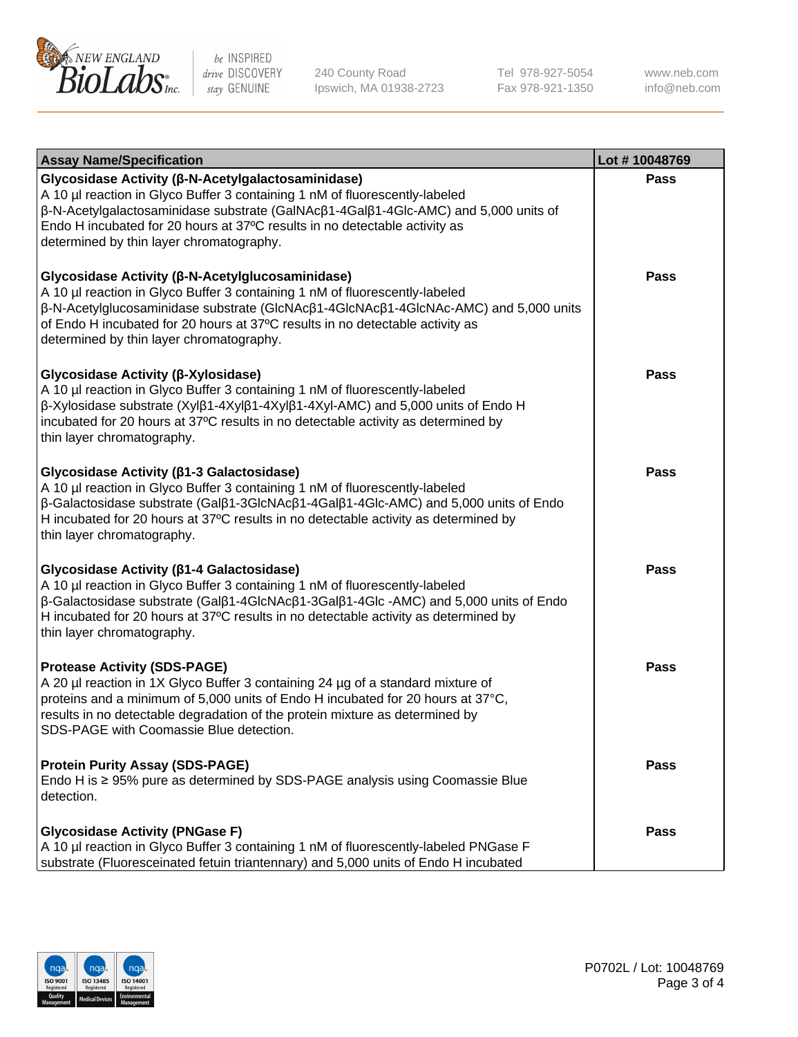

240 County Road Ipswich, MA 01938-2723 Tel 978-927-5054 Fax 978-921-1350

www.neb.com info@neb.com

| <b>Assay Name/Specification</b>                                                                                                                                                                                                                                                                                                                                      | Lot #10048769 |
|----------------------------------------------------------------------------------------------------------------------------------------------------------------------------------------------------------------------------------------------------------------------------------------------------------------------------------------------------------------------|---------------|
| Glycosidase Activity (β-N-Acetylgalactosaminidase)<br>A 10 µl reaction in Glyco Buffer 3 containing 1 nM of fluorescently-labeled<br>β-N-Acetylgalactosaminidase substrate (GalNAcβ1-4Galβ1-4Glc-AMC) and 5,000 units of<br>Endo H incubated for 20 hours at 37°C results in no detectable activity as<br>determined by thin layer chromatography.                   | Pass          |
| Glycosidase Activity (β-N-Acetylglucosaminidase)<br>A 10 µl reaction in Glyco Buffer 3 containing 1 nM of fluorescently-labeled<br>β-N-Acetylglucosaminidase substrate (GlcNAcβ1-4GlcNAcβ1-4GlcNAc-AMC) and 5,000 units<br>of Endo H incubated for 20 hours at 37°C results in no detectable activity as<br>determined by thin layer chromatography.                 | <b>Pass</b>   |
| Glycosidase Activity (β-Xylosidase)<br>A 10 µl reaction in Glyco Buffer 3 containing 1 nM of fluorescently-labeled<br>$\beta$ -Xylosidase substrate (Xyl $\beta$ 1-4Xyl $\beta$ 1-4Xyl $\beta$ 1-4Xyl-AMC) and 5,000 units of Endo H<br>incubated for 20 hours at 37°C results in no detectable activity as determined by<br>thin layer chromatography.              | <b>Pass</b>   |
| Glycosidase Activity (ß1-3 Galactosidase)<br>A 10 µl reaction in Glyco Buffer 3 containing 1 nM of fluorescently-labeled<br>$\beta$ -Galactosidase substrate (Gal $\beta$ 1-3GlcNAc $\beta$ 1-4Gal $\beta$ 1-4Glc-AMC) and 5,000 units of Endo<br>H incubated for 20 hours at 37°C results in no detectable activity as determined by<br>thin layer chromatography.  | Pass          |
| Glycosidase Activity (β1-4 Galactosidase)<br>A 10 µl reaction in Glyco Buffer 3 containing 1 nM of fluorescently-labeled<br>$\beta$ -Galactosidase substrate (Gal $\beta$ 1-4GlcNAc $\beta$ 1-3Gal $\beta$ 1-4Glc -AMC) and 5,000 units of Endo<br>H incubated for 20 hours at 37°C results in no detectable activity as determined by<br>thin layer chromatography. | <b>Pass</b>   |
| <b>Protease Activity (SDS-PAGE)</b><br>A 20 µl reaction in 1X Glyco Buffer 3 containing 24 µg of a standard mixture of<br>proteins and a minimum of 5,000 units of Endo H incubated for 20 hours at 37°C,<br>results in no detectable degradation of the protein mixture as determined by<br>SDS-PAGE with Coomassie Blue detection.                                 | <b>Pass</b>   |
| <b>Protein Purity Assay (SDS-PAGE)</b><br>Endo H is ≥ 95% pure as determined by SDS-PAGE analysis using Coomassie Blue<br>detection.                                                                                                                                                                                                                                 | <b>Pass</b>   |
| <b>Glycosidase Activity (PNGase F)</b><br>A 10 µl reaction in Glyco Buffer 3 containing 1 nM of fluorescently-labeled PNGase F<br>substrate (Fluoresceinated fetuin triantennary) and 5,000 units of Endo H incubated                                                                                                                                                | Pass          |